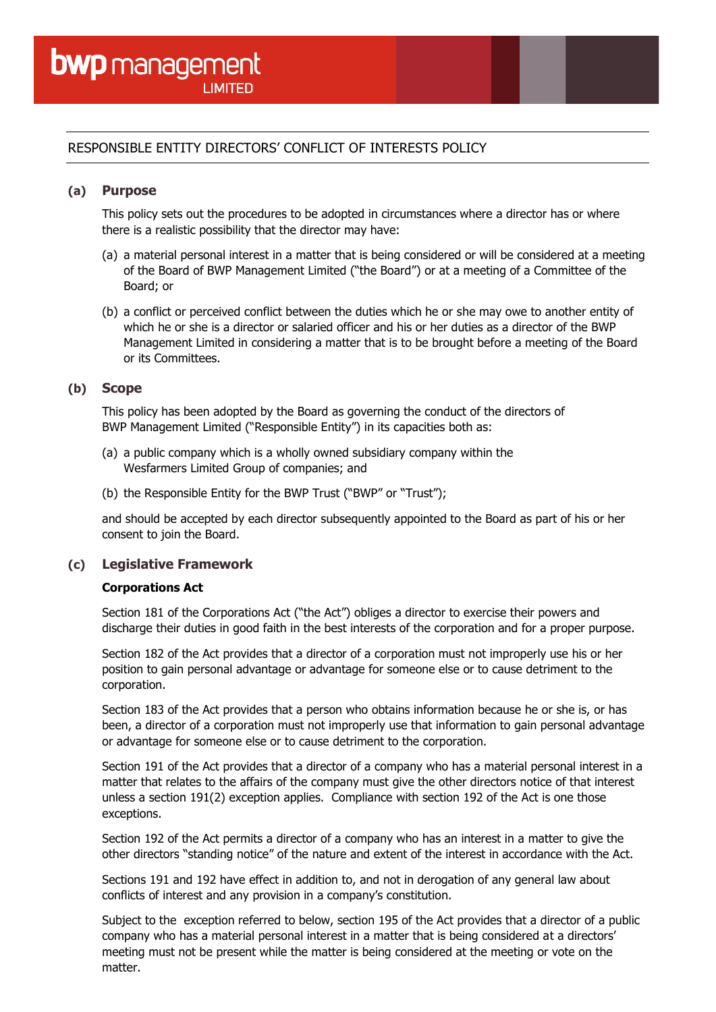# RESPONSIBLE ENTITY DIRECTORS' CONFLICT OF INTERESTS POLICY

#### **(a) Purpose**

This policy sets out the procedures to be adopted in circumstances where a director has or where there is a realistic possibility that the director may have:

- (a) a material personal interest in a matter that is being considered or will be considered at a meeting of the Board of BWP Management Limited ("the Board") or at a meeting of a Committee of the Board; or
- (b) a conflict or perceived conflict between the duties which he or she may owe to another entity of which he or she is a director or salaried officer and his or her duties as a director of the BWP Management Limited in considering a matter that is to be brought before a meeting of the Board or its Committees.

#### **(b) Scope**

This policy has been adopted by the Board as governing the conduct of the directors of BWP Management Limited ("Responsible Entity") in its capacities both as:

- (a) a public company which is a wholly owned subsidiary company within the Wesfarmers Limited Group of companies; and
- (b) the Responsible Entity for the BWP Trust ("BWP" or "Trust");

and should be accepted by each director subsequently appointed to the Board as part of his or her consent to join the Board.

#### **(c) Legislative Framework**

#### **Corporations Act**

Section 181 of the Corporations Act ("the Act") obliges a director to exercise their powers and discharge their duties in good faith in the best interests of the corporation and for a proper purpose.

Section 182 of the Act provides that a director of a corporation must not improperly use his or her position to gain personal advantage or advantage for someone else or to cause detriment to the corporation.

Section 183 of the Act provides that a person who obtains information because he or she is, or has been, a director of a corporation must not improperly use that information to gain personal advantage or advantage for someone else or to cause detriment to the corporation.

Section 191 of the Act provides that a director of a company who has a material personal interest in a matter that relates to the affairs of the company must give the other directors notice of that interest unless a section 191(2) exception applies. Compliance with section 192 of the Act is one those exceptions.

Section 192 of the Act permits a director of a company who has an interest in a matter to give the other directors "standing notice" of the nature and extent of the interest in accordance with the Act.

Sections 191 and 192 have effect in addition to, and not in derogation of any general law about conflicts of interest and any provision in a company's constitution.

Subject to the exception referred to below, section 195 of the Act provides that a director of a public company who has a material personal interest in a matter that is being considered at a directors' meeting must not be present while the matter is being considered at the meeting or vote on the matter.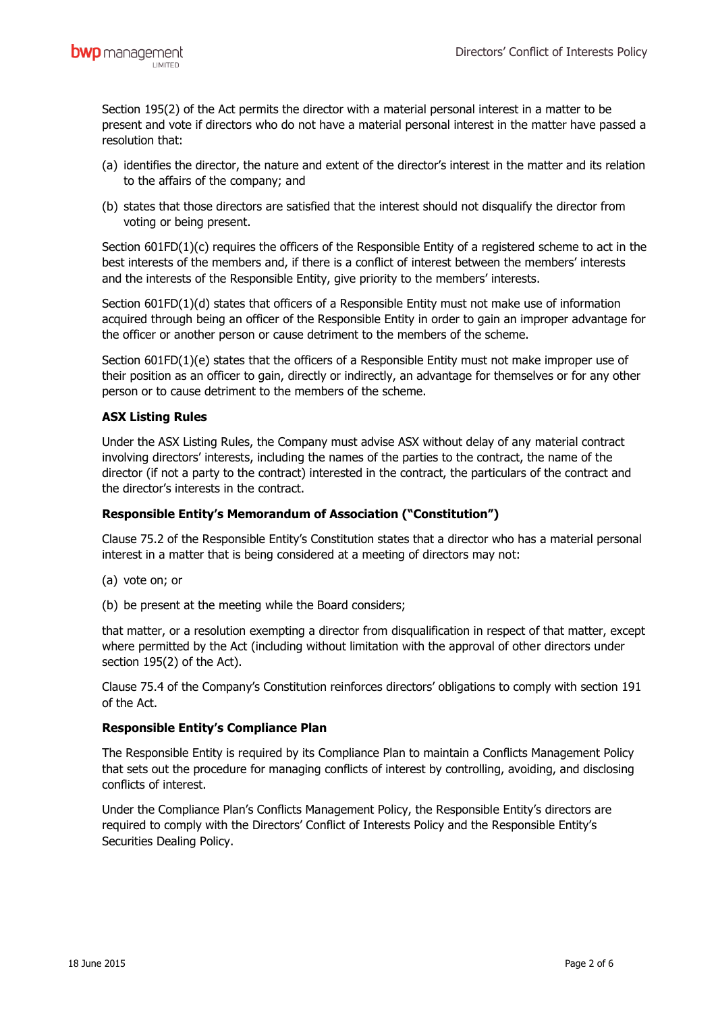Section 195(2) of the Act permits the director with a material personal interest in a matter to be present and vote if directors who do not have a material personal interest in the matter have passed a resolution that:

- (a) identifies the director, the nature and extent of the director's interest in the matter and its relation to the affairs of the company; and
- (b) states that those directors are satisfied that the interest should not disqualify the director from voting or being present.

Section 601FD(1)(c) requires the officers of the Responsible Entity of a registered scheme to act in the best interests of the members and, if there is a conflict of interest between the members' interests and the interests of the Responsible Entity, give priority to the members' interests.

Section 601FD(1)(d) states that officers of a Responsible Entity must not make use of information acquired through being an officer of the Responsible Entity in order to gain an improper advantage for the officer or another person or cause detriment to the members of the scheme.

Section 601FD(1)(e) states that the officers of a Responsible Entity must not make improper use of their position as an officer to gain, directly or indirectly, an advantage for themselves or for any other person or to cause detriment to the members of the scheme.

#### **ASX Listing Rules**

Under the ASX Listing Rules, the Company must advise ASX without delay of any material contract involving directors' interests, including the names of the parties to the contract, the name of the director (if not a party to the contract) interested in the contract, the particulars of the contract and the director's interests in the contract.

#### **Responsible Entity's Memorandum of Association ("Constitution")**

Clause 75.2 of the Responsible Entity's Constitution states that a director who has a material personal interest in a matter that is being considered at a meeting of directors may not:

- (a) vote on; or
- (b) be present at the meeting while the Board considers;

that matter, or a resolution exempting a director from disqualification in respect of that matter, except where permitted by the Act (including without limitation with the approval of other directors under section 195(2) of the Act).

Clause 75.4 of the Company's Constitution reinforces directors' obligations to comply with section 191 of the Act.

#### **Responsible Entity's Compliance Plan**

The Responsible Entity is required by its Compliance Plan to maintain a Conflicts Management Policy that sets out the procedure for managing conflicts of interest by controlling, avoiding, and disclosing conflicts of interest.

Under the Compliance Plan's Conflicts Management Policy, the Responsible Entity's directors are required to comply with the Directors' Conflict of Interests Policy and the Responsible Entity's Securities Dealing Policy.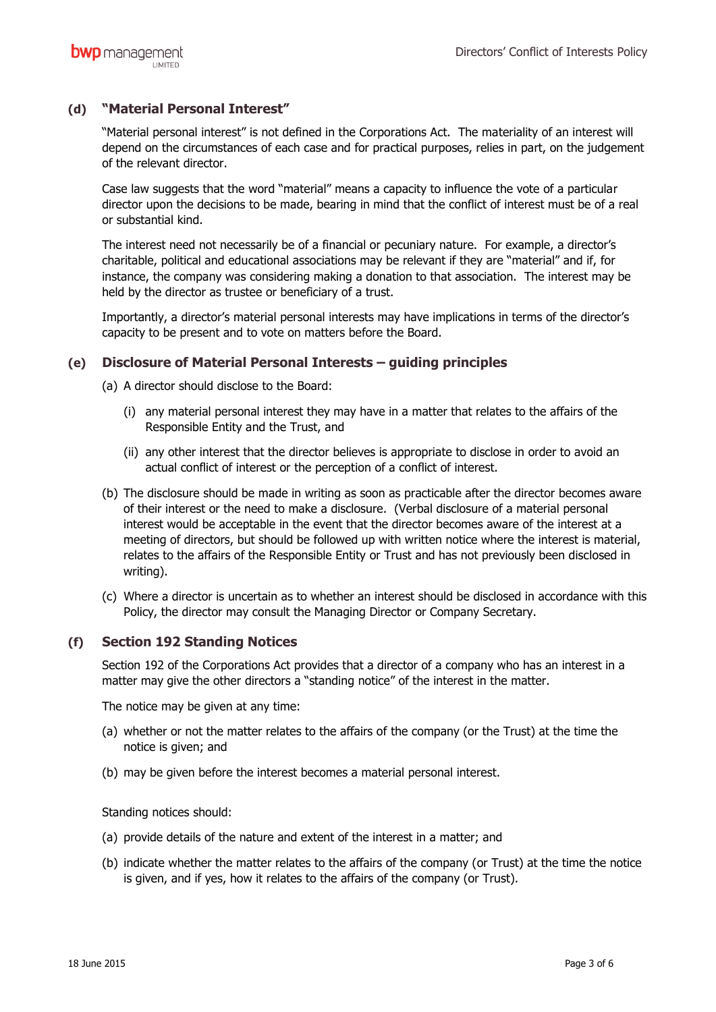### **(d) "Material Personal Interest"**

"Material personal interest" is not defined in the Corporations Act. The materiality of an interest will depend on the circumstances of each case and for practical purposes, relies in part, on the judgement of the relevant director.

Case law suggests that the word "material" means a capacity to influence the vote of a particular director upon the decisions to be made, bearing in mind that the conflict of interest must be of a real or substantial kind.

The interest need not necessarily be of a financial or pecuniary nature. For example, a director's charitable, political and educational associations may be relevant if they are "material" and if, for instance, the company was considering making a donation to that association. The interest may be held by the director as trustee or beneficiary of a trust.

Importantly, a director's material personal interests may have implications in terms of the director's capacity to be present and to vote on matters before the Board.

#### **(e) Disclosure of Material Personal Interests – guiding principles**

- (a) A director should disclose to the Board:
	- (i) any material personal interest they may have in a matter that relates to the affairs of the Responsible Entity and the Trust, and
	- (ii) any other interest that the director believes is appropriate to disclose in order to avoid an actual conflict of interest or the perception of a conflict of interest.
- (b) The disclosure should be made in writing as soon as practicable after the director becomes aware of their interest or the need to make a disclosure. (Verbal disclosure of a material personal interest would be acceptable in the event that the director becomes aware of the interest at a meeting of directors, but should be followed up with written notice where the interest is material, relates to the affairs of the Responsible Entity or Trust and has not previously been disclosed in writing).
- (c) Where a director is uncertain as to whether an interest should be disclosed in accordance with this Policy, the director may consult the Managing Director or Company Secretary.

#### **(f) Section 192 Standing Notices**

Section 192 of the Corporations Act provides that a director of a company who has an interest in a matter may give the other directors a "standing notice" of the interest in the matter.

The notice may be given at any time:

- (a) whether or not the matter relates to the affairs of the company (or the Trust) at the time the notice is given; and
- (b) may be given before the interest becomes a material personal interest.

Standing notices should:

- (a) provide details of the nature and extent of the interest in a matter; and
- (b) indicate whether the matter relates to the affairs of the company (or Trust) at the time the notice is given, and if yes, how it relates to the affairs of the company (or Trust).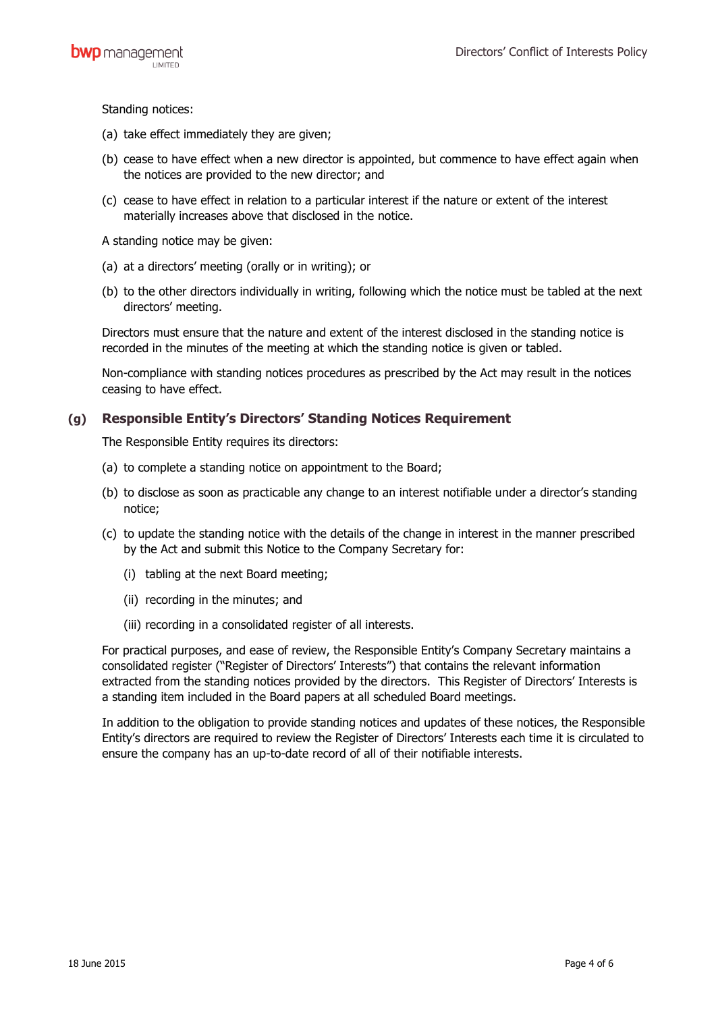Standing notices:

- (a) take effect immediately they are given;
- (b) cease to have effect when a new director is appointed, but commence to have effect again when the notices are provided to the new director; and
- (c) cease to have effect in relation to a particular interest if the nature or extent of the interest materially increases above that disclosed in the notice.

A standing notice may be given:

- (a) at a directors' meeting (orally or in writing); or
- (b) to the other directors individually in writing, following which the notice must be tabled at the next directors' meeting.

Directors must ensure that the nature and extent of the interest disclosed in the standing notice is recorded in the minutes of the meeting at which the standing notice is given or tabled.

Non-compliance with standing notices procedures as prescribed by the Act may result in the notices ceasing to have effect.

### **(g) Responsible Entity's Directors' Standing Notices Requirement**

The Responsible Entity requires its directors:

- (a) to complete a standing notice on appointment to the Board;
- (b) to disclose as soon as practicable any change to an interest notifiable under a director's standing notice;
- (c) to update the standing notice with the details of the change in interest in the manner prescribed by the Act and submit this Notice to the Company Secretary for:
	- (i) tabling at the next Board meeting;
	- (ii) recording in the minutes; and
	- (iii) recording in a consolidated register of all interests.

For practical purposes, and ease of review, the Responsible Entity's Company Secretary maintains a consolidated register ("Register of Directors' Interests") that contains the relevant information extracted from the standing notices provided by the directors. This Register of Directors' Interests is a standing item included in the Board papers at all scheduled Board meetings.

In addition to the obligation to provide standing notices and updates of these notices, the Responsible Entity's directors are required to review the Register of Directors' Interests each time it is circulated to ensure the company has an up-to-date record of all of their notifiable interests.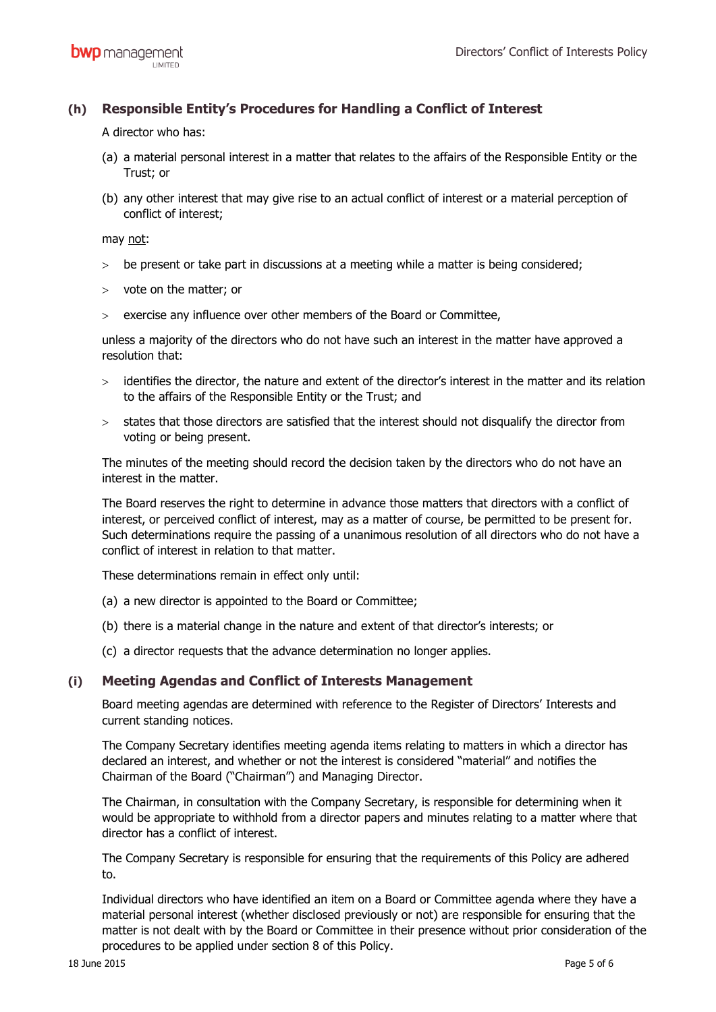## **(h) Responsible Entity's Procedures for Handling a Conflict of Interest**

A director who has:

- (a) a material personal interest in a matter that relates to the affairs of the Responsible Entity or the Trust; or
- (b) any other interest that may give rise to an actual conflict of interest or a material perception of conflict of interest;

may not:

- > be present or take part in discussions at a meeting while a matter is being considered;
- $>$  vote on the matter; or
- exercise any influence over other members of the Board or Committee,

unless a majority of the directors who do not have such an interest in the matter have approved a resolution that:

- identifies the director, the nature and extent of the director's interest in the matter and its relation to the affairs of the Responsible Entity or the Trust; and
- > states that those directors are satisfied that the interest should not disqualify the director from voting or being present.

The minutes of the meeting should record the decision taken by the directors who do not have an interest in the matter.

The Board reserves the right to determine in advance those matters that directors with a conflict of interest, or perceived conflict of interest, may as a matter of course, be permitted to be present for. Such determinations require the passing of a unanimous resolution of all directors who do not have a conflict of interest in relation to that matter.

These determinations remain in effect only until:

- (a) a new director is appointed to the Board or Committee;
- (b) there is a material change in the nature and extent of that director's interests; or
- (c) a director requests that the advance determination no longer applies.

#### **(i) Meeting Agendas and Conflict of Interests Management**

Board meeting agendas are determined with reference to the Register of Directors' Interests and current standing notices.

The Company Secretary identifies meeting agenda items relating to matters in which a director has declared an interest, and whether or not the interest is considered "material" and notifies the Chairman of the Board ("Chairman") and Managing Director.

The Chairman, in consultation with the Company Secretary, is responsible for determining when it would be appropriate to withhold from a director papers and minutes relating to a matter where that director has a conflict of interest.

The Company Secretary is responsible for ensuring that the requirements of this Policy are adhered to.

Individual directors who have identified an item on a Board or Committee agenda where they have a material personal interest (whether disclosed previously or not) are responsible for ensuring that the matter is not dealt with by the Board or Committee in their presence without prior consideration of the procedures to be applied under section 8 of this Policy.